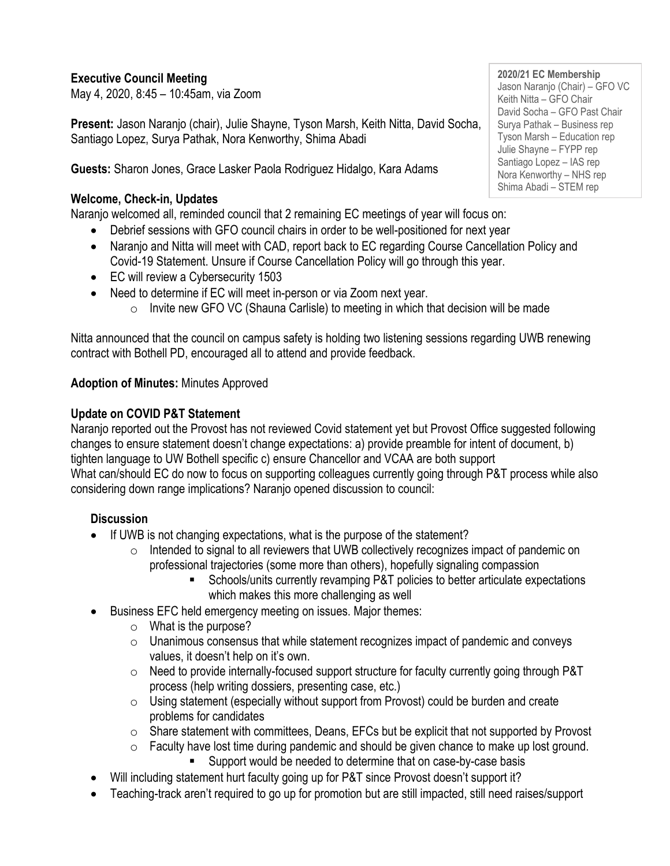## **Executive Council Meeting**

May 4, 2020, 8:45 – 10:45am, via Zoom

**Present:** Jason Naranjo (chair), Julie Shayne, Tyson Marsh, Keith Nitta, David Socha, Santiago Lopez, Surya Pathak, Nora Kenworthy, Shima Abadi

**Guests:** Sharon Jones, Grace Lasker Paola Rodriguez Hidalgo, Kara Adams

#### **Welcome, Check-in, Updates**

Naranjo welcomed all, reminded council that 2 remaining EC meetings of year will focus on:

- Debrief sessions with GFO council chairs in order to be well-positioned for next year
- Naranjo and Nitta will meet with CAD, report back to EC regarding Course Cancellation Policy and Covid-19 Statement. Unsure if Course Cancellation Policy will go through this year.
- EC will review a Cybersecurity 1503
- Need to determine if EC will meet in-person or via Zoom next year.
	- $\circ$  Invite new GFO VC (Shauna Carlisle) to meeting in which that decision will be made

Nitta announced that the council on campus safety is holding two listening sessions regarding UWB renewing contract with Bothell PD, encouraged all to attend and provide feedback.

## **Adoption of Minutes:** Minutes Approved

## **Update on COVID P&T Statement**

Naranjo reported out the Provost has not reviewed Covid statement yet but Provost Office suggested following changes to ensure statement doesn't change expectations: a) provide preamble for intent of document, b) tighten language to UW Bothell specific c) ensure Chancellor and VCAA are both support What can/should EC do now to focus on supporting colleagues currently going through P&T process while also considering down range implications? Naranjo opened discussion to council:

#### **Discussion**

- If UWB is not changing expectations, what is the purpose of the statement?
	- o Intended to signal to all reviewers that UWB collectively recognizes impact of pandemic on professional trajectories (some more than others), hopefully signaling compassion
		- Schools/units currently revamping P&T policies to better articulate expectations which makes this more challenging as well
- Business EFC held emergency meeting on issues. Major themes:
	- $\circ$  What is the purpose?
	- $\circ$  Unanimous consensus that while statement recognizes impact of pandemic and conveys values, it doesn't help on it's own.
	- $\circ$  Need to provide internally-focused support structure for faculty currently going through P&T process (help writing dossiers, presenting case, etc.)
	- $\circ$  Using statement (especially without support from Provost) could be burden and create problems for candidates
	- $\circ$  Share statement with committees, Deans, EFCs but be explicit that not supported by Provost
	- $\circ$  Faculty have lost time during pandemic and should be given chance to make up lost ground.
		- Support would be needed to determine that on case-by-case basis
- Will including statement hurt faculty going up for P&T since Provost doesn't support it?
- Teaching-track aren't required to go up for promotion but are still impacted, still need raises/support

**2020/21 EC Membership** Jason Naranjo (Chair) – GFO VC Keith Nitta – GFO Chair David Socha – GFO Past Chair Surya Pathak – Business rep Tyson Marsh – Education rep Julie Shayne – FYPP rep Santiago Lopez – IAS rep Nora Kenworthy – NHS rep Shima Abadi – STEM rep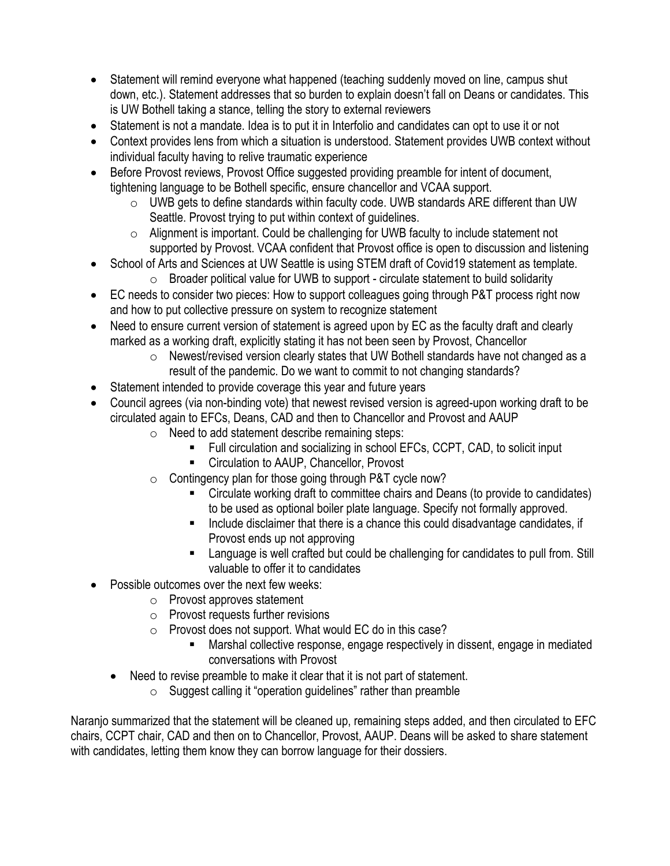- Statement will remind everyone what happened (teaching suddenly moved on line, campus shut down, etc.). Statement addresses that so burden to explain doesn't fall on Deans or candidates. This is UW Bothell taking a stance, telling the story to external reviewers
- Statement is not a mandate. Idea is to put it in Interfolio and candidates can opt to use it or not
- Context provides lens from which a situation is understood. Statement provides UWB context without individual faculty having to relive traumatic experience
- Before Provost reviews, Provost Office suggested providing preamble for intent of document, tightening language to be Bothell specific, ensure chancellor and VCAA support.
	- o UWB gets to define standards within faculty code. UWB standards ARE different than UW Seattle. Provost trying to put within context of guidelines.
	- $\circ$  Alignment is important. Could be challenging for UWB faculty to include statement not supported by Provost. VCAA confident that Provost office is open to discussion and listening
- School of Arts and Sciences at UW Seattle is using STEM draft of Covid19 statement as template.
	- $\circ$  Broader political value for UWB to support circulate statement to build solidarity
- EC needs to consider two pieces: How to support colleagues going through P&T process right now and how to put collective pressure on system to recognize statement
- Need to ensure current version of statement is agreed upon by EC as the faculty draft and clearly marked as a working draft, explicitly stating it has not been seen by Provost, Chancellor
	- o Newest/revised version clearly states that UW Bothell standards have not changed as a result of the pandemic. Do we want to commit to not changing standards?
- Statement intended to provide coverage this year and future years
- Council agrees (via non-binding vote) that newest revised version is agreed-upon working draft to be circulated again to EFCs, Deans, CAD and then to Chancellor and Provost and AAUP
	- o Need to add statement describe remaining steps:
		- Full circulation and socializing in school EFCs, CCPT, CAD, to solicit input
		- Circulation to AAUP, Chancellor, Provost
	- o Contingency plan for those going through P&T cycle now?
		- Circulate working draft to committee chairs and Deans (to provide to candidates) to be used as optional boiler plate language. Specify not formally approved.
		- Include disclaimer that there is a chance this could disadvantage candidates, if Provost ends up not approving
		- Language is well crafted but could be challenging for candidates to pull from. Still valuable to offer it to candidates
- Possible outcomes over the next few weeks:
	- o Provost approves statement
	- $\circ$  Provost requests further revisions
	- o Provost does not support. What would EC do in this case?
		- Marshal collective response, engage respectively in dissent, engage in mediated conversations with Provost
	- Need to revise preamble to make it clear that it is not part of statement.
		- $\circ$  Suggest calling it "operation guidelines" rather than preamble

Naranjo summarized that the statement will be cleaned up, remaining steps added, and then circulated to EFC chairs, CCPT chair, CAD and then on to Chancellor, Provost, AAUP. Deans will be asked to share statement with candidates, letting them know they can borrow language for their dossiers.